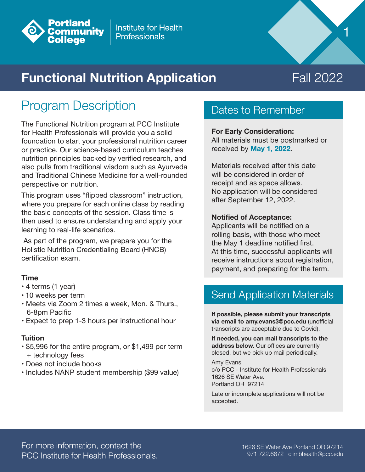

# **Functional Nutrition Application**

# Fall 2022

1

### Program Description

The Functional Nutrition program at PCC Institute for Health Professionals will provide you a solid foundation to start your professional nutrition career or practice. Our science-based curriculum teaches nutrition principles backed by verified research, and also pulls from traditional wisdom such as Ayurveda and Traditional Chinese Medicine for a well-rounded perspective on nutrition.

This program uses "flipped classroom" instruction, where you prepare for each online class by reading the basic concepts of the session. Class time is then used to ensure understanding and apply your learning to real-life scenarios.

 As part of the program, we prepare you for the Holistic Nutrition Credentialing Board (HNCB) certification exam.

### **Time**

- 4 terms (1 year)
- 10 weeks per term
- Meets via Zoom 2 times a week, Mon. & Thurs., 6-8pm Pacific
- Expect to prep 1-3 hours per instructional hour

### **Tuition**

- \$5,996 for the entire program, or \$1,499 per term + technology fees
- Does not include books
- Includes NANP student membership (\$99 value)

### Dates to Remember

### **For Early Consideration:**

All materials must be postmarked or received by **May 1, 2022**.

Materials received after this date will be considered in order of receipt and as space allows. No application will be considered after September 12, 2022.

#### **Notified of Acceptance:**

Applicants will be notified on a rolling basis, with those who meet the May 1 deadline notified first. At this time, successful applicants will receive instructions about registration, payment, and preparing for the term.

### Send Application Materials

**If possible, please submit your transcripts via email to amy.evans3@pcc.edu** (unofficial transcripts are acceptable due to Covid).

**If needed, you can mail transcripts to the address below.** Our offices are currently closed, but we pick up mail periodically.

Amy Evans c/o PCC - Institute for Health Professionals 1626 SE Water Ave. Portland OR 97214

Late or incomplete applications will not be accepted.

For more information, contact the PCC Institute for Health Professionals.

1626 SE Water Ave Portland OR 97214 971.722.6672 | climbhealth@pcc.edu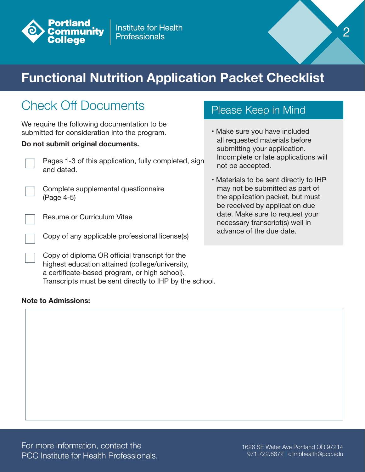

# **Functional Nutrition Application Packet Checklist**

## Check Off Documents

We require the following documentation to be submitted for consideration into the program.

### **Do not submit original documents.**

Pages 1-3 of this application, fully completed, sign and dated.

Complete supplemental questionnaire (Page 4-5)

Resume or Curriculum Vitae

Copy of any applicable professional license(s)

Copy of diploma OR official transcript for the highest education attained (college/university, a certificate-based program, or high school). Transcripts must be sent directly to IHP by the school.

### **Note to Admissions:**

### Please Keep in Mind

• Make sure you have included all requested materials before submitting your application. Incomplete or late applications will not be accepted.

2

• Materials to be sent directly to IHP may not be submitted as part of the application packet, but must be received by application due date. Make sure to request your necessary transcript(s) well in advance of the due date.

For more information, contact the PCC Institute for Health Professionals.

1626 SE Water Ave Portland OR 97214 971.722.6672 | climbhealth@pcc.edu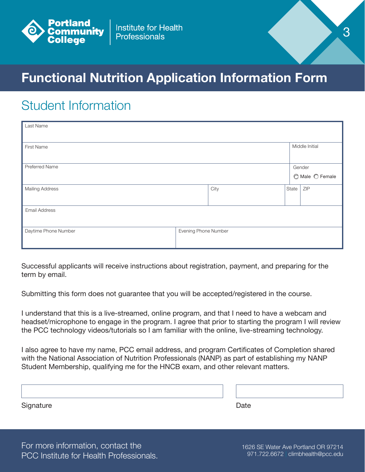

# **Functional Nutrition Application Information Form**

### Student Information

| Last Name              |                      |      |  |       |                           |  |  |
|------------------------|----------------------|------|--|-------|---------------------------|--|--|
| First Name             |                      |      |  |       | Middle Initial            |  |  |
| Preferred Name         |                      |      |  |       | Gender<br>◯ Male ◯ Female |  |  |
| <b>Mailing Address</b> |                      | City |  | State | ZIP                       |  |  |
| Email Address          |                      |      |  |       |                           |  |  |
| Daytime Phone Number   | Evening Phone Number |      |  |       |                           |  |  |

Successful applicants will receive instructions about registration, payment, and preparing for the term by email.

Submitting this form does not guarantee that you will be accepted/registered in the course.

I understand that this is a live-streamed, online program, and that I need to have a webcam and headset/microphone to engage in the program. I agree that prior to starting the program I will review the PCC technology videos/tutorials so I am familiar with the online, live-streaming technology.

I also agree to have my name, PCC email address, and program Certificates of Completion shared with the National Association of Nutrition Professionals (NANP) as part of establishing my NANP Student Membership, qualifying me for the HNCB exam, and other relevant matters.

| Signature | Date |  |  |
|-----------|------|--|--|

For more information, contact the PCC Institute for Health Professionals.

1626 SE Water Ave Portland OR 97214 971.722.6672 | climbhealth@pcc.edu

3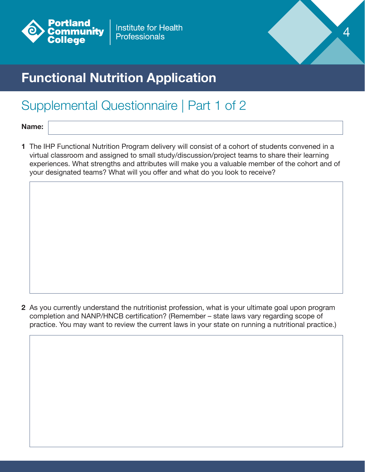



# **Functional Nutrition Application**

## Supplemental Questionnaire | Part 1 of 2

**Name:**

**1** The IHP Functional Nutrition Program delivery will consist of a cohort of students convened in a virtual classroom and assigned to small study/discussion/project teams to share their learning experiences. What strengths and attributes will make you a valuable member of the cohort and of your designated teams? What will you offer and what do you look to receive?

**2** As you currently understand the nutritionist profession, what is your ultimate goal upon program completion and NANP/HNCB certification? (Remember – state laws vary regarding scope of practice. You may want to review the current laws in your state on running a nutritional practice.)